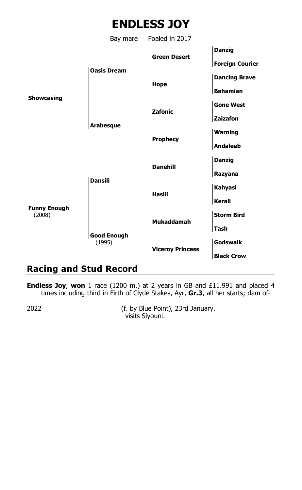

Bay mare Foaled in 2017 **Danzig Green Desert Foreign Courier Oasis Dream Dancing Brave Hope Bahamian Showcasing Gone West Zafonic Zaizafon Arabesque Warning Prophecy Andaleeb Danzig Danehill Razyana Dansili Kahyasi Hasili Kerali Funny Enough** (2008) **Storm Bird Mukaddamah Tash Good Enough** (1995) **Godswalk Viceroy Princess Black Crow**

# **Racing and Stud Record**

**Endless Joy**, **won** 1 race (1200 m.) at 2 years in GB and £11.991 and placed 4 times including third in Firth of Clyde Stakes, Ayr, **Gr.3**, all her starts; dam of-

2022 (f. by Blue Point), 23rd January. visits Siyouni.